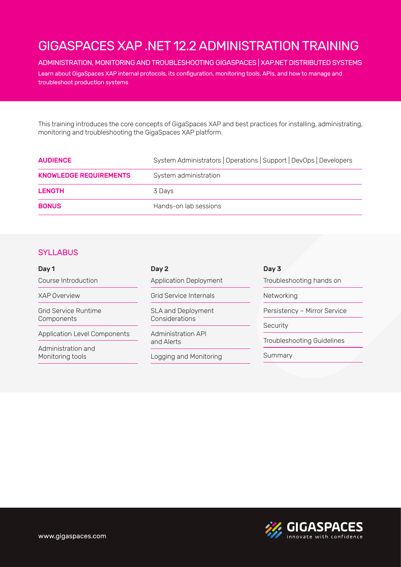### ADMINISTRATION, MONITORING AND TROUBLESHOOTING GIGASPACES | XAP.NET DISTRIBUTED SYSTEMS

Learn about GigaSpaces XAP internal protocols, its configuration, monitoring tools, APIs, and how to manage and troubleshoot production systems

This training introduces the core concepts of GigaSpaces XAP and best practices for installing, administrating, monitoring and troubleshooting the GigaSpaces XAP platform.

| <b>AUDIENCE</b>               | System Administrators   Operations   Support   DevOps   Developers |  |
|-------------------------------|--------------------------------------------------------------------|--|
| <b>KNOWLEDGE REQUIREMENTS</b> | System administration                                              |  |
| <b>LENGTH</b>                 | 3 Davs                                                             |  |
| <b>BONUS</b>                  | Hands-on lab sessions                                              |  |

### **SYLLABUS**

| Day 1                                     | Day 2                                       | Day 3                        |
|-------------------------------------------|---------------------------------------------|------------------------------|
| Course Introduction                       | <b>Application Deployment</b>               | Troubleshooting hands on     |
| <b>XAP Overview</b>                       | Grid Service Internals                      | Networking                   |
| <b>Grid Service Runtime</b><br>Components | <b>SLA and Deployment</b><br>Considerations | Persistency - Mirror Service |
|                                           |                                             | Security                     |
| <b>Application Level Components</b>       | <b>Administration API</b><br>and Alerts     |                              |
| Administration and<br>Monitoring tools    |                                             | Troubleshooting Guidelines   |
|                                           | Logging and Monitoring                      | Summary                      |

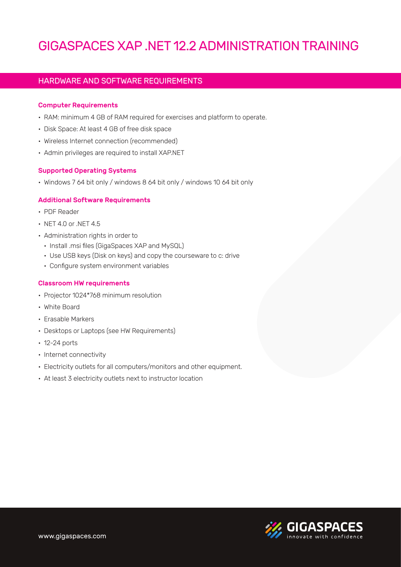# HARDWARE AND SOFTWARE REQUIREMENTS

### **Computer Requirements**

- . RAM: minimum 4 GB of RAM required for exercises and platform to operate.
- Disk Space: At least 4 GB of free disk space
- Wireless Internet connection (recommended)
- Admin privileges are required to install XAP.NET

### **Supported Operating Systems**

• Windows 7 64 bit only / windows 8 64 bit only / windows 10 64 bit only

### **Additional Software Requirements**

- PDF Reader
- $\cdot$  NET 4.0 or NET 4.5
- Administration rights in order to
	- Install .msi files (GigaSpaces XAP and MySQL)
	- Use USB keys (Disk on keys) and copy the courseware to c: drive
	- Configure system environment variables

### **Classroom HW requirements**

- Projector 1024\*768 minimum resolution
- White Board
- Erasable Markers
- Desktops or Laptops (see HW Requirements)
- $\cdot$  12-24 ports
- Internet connectivity
- Electricity outlets for all computers/monitors and other equipment.
- At least 3 electricity outlets next to instructor location

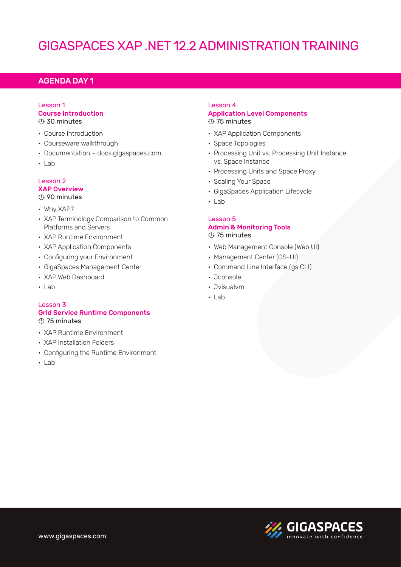### **AGENDA DAY 1**

### Lesson 1 **Course Introduction**  $\odot$  30 minutes

- Course Introduction
- Courseware walkthrough
- Documentation docs.gigaspaces.com
- Lab

#### Lesson 2 **XAP Overview**  $\odot$  90 minutes

- Why XAP?
- XAP Terminology Comparison to Common Platforms and Servers
- XAP Runtime Environment
- XAP Application Components
- Configuring your Environment
- GigaSpaces Management Center
- XAP Web Dashboard
- Lab

### Lesson<sub>3</sub> **Grid Service Runtime Components**  $\circled{}$  75 minutes

- XAP Runtime Environment
- XAP Installation Folders
- Configuring the Runtime Environment
- Lab

### Lesson 4 **Application Level Components**  $\overline{\odot}$  75 minutes

- XAP Application Components
- Space Topologies
- Processing Unit vs. Processing Unit Instance vs. Space Instance
- Processing Units and Space Proxy
- Scaling Your Space
- GigaSpaces Application Lifecycle
- Lab•

### 5 Lesson **Admin & Monitoring Tools**  $<sup>①</sup>$  75 minutes</sup>

- Web Management Console (Web UI)
- Management Center (GS-UI)
- Command Line Interface (gs CLI)
- Jconsole
- Jvisualvm•
- Lab•

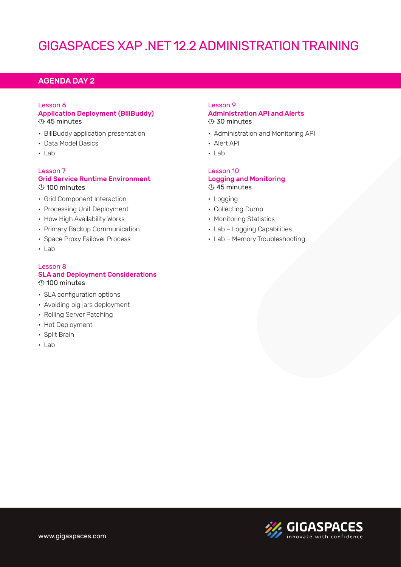# **AGENDA DAY 2**

# Lesson 6

### **Application Deployment (BillBuddy)**  $\overline{\odot}$  45 minutes

- BillBuddy application presentation
- Data Model Basics
- $\cdot$  lab

### Lesson<sub>7</sub> **Grid Service Runtime Environment**  $<sup>0</sup>$  100 minutes</sup>

- Grid Component Interaction
- Processing Unit Deployment
- How High Availability Works
- Primary Backup Communication
- Space Proxy Failover Process
- Lab

### Lesson 8 **SLA and Deployment Considerations**  $\odot$  100 minutes

- SLA configuration options
- Avoiding big jars deployment
- Rolling Server Patching
- Hot Deployment
- Split Brain
- $\cdot$  Lab

### Lesson 9 **Administration API and Alerts**  $\odot$  30 minutes

- Administration and Monitoring API
- Alert API
- $-$ lab

### Lesson 10 **Logging and Monitoring**  $\odot$  45 minutes

- Logging
- Collecting Dump
- Monitoring Statistics
- Lab Logging Capabilities
- Lab Memory Troubleshooting